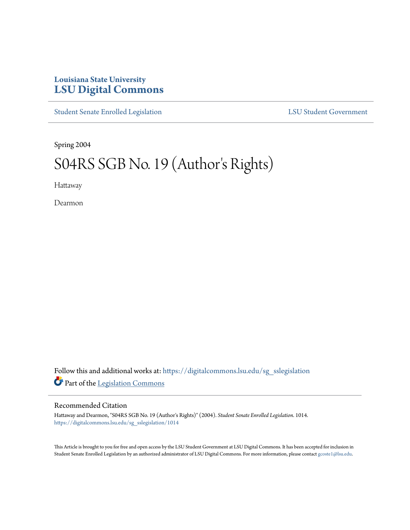# **Louisiana State University [LSU Digital Commons](https://digitalcommons.lsu.edu?utm_source=digitalcommons.lsu.edu%2Fsg_sslegislation%2F1014&utm_medium=PDF&utm_campaign=PDFCoverPages)**

[Student Senate Enrolled Legislation](https://digitalcommons.lsu.edu/sg_sslegislation?utm_source=digitalcommons.lsu.edu%2Fsg_sslegislation%2F1014&utm_medium=PDF&utm_campaign=PDFCoverPages) [LSU Student Government](https://digitalcommons.lsu.edu/sg?utm_source=digitalcommons.lsu.edu%2Fsg_sslegislation%2F1014&utm_medium=PDF&utm_campaign=PDFCoverPages)

Spring 2004

# S04RS SGB No. 19 (Author's Rights)

Hattaway

Dearmon

Follow this and additional works at: [https://digitalcommons.lsu.edu/sg\\_sslegislation](https://digitalcommons.lsu.edu/sg_sslegislation?utm_source=digitalcommons.lsu.edu%2Fsg_sslegislation%2F1014&utm_medium=PDF&utm_campaign=PDFCoverPages) Part of the [Legislation Commons](http://network.bepress.com/hgg/discipline/859?utm_source=digitalcommons.lsu.edu%2Fsg_sslegislation%2F1014&utm_medium=PDF&utm_campaign=PDFCoverPages)

#### Recommended Citation

Hattaway and Dearmon, "S04RS SGB No. 19 (Author's Rights)" (2004). *Student Senate Enrolled Legislation*. 1014. [https://digitalcommons.lsu.edu/sg\\_sslegislation/1014](https://digitalcommons.lsu.edu/sg_sslegislation/1014?utm_source=digitalcommons.lsu.edu%2Fsg_sslegislation%2F1014&utm_medium=PDF&utm_campaign=PDFCoverPages)

This Article is brought to you for free and open access by the LSU Student Government at LSU Digital Commons. It has been accepted for inclusion in Student Senate Enrolled Legislation by an authorized administrator of LSU Digital Commons. For more information, please contact [gcoste1@lsu.edu.](mailto:gcoste1@lsu.edu)